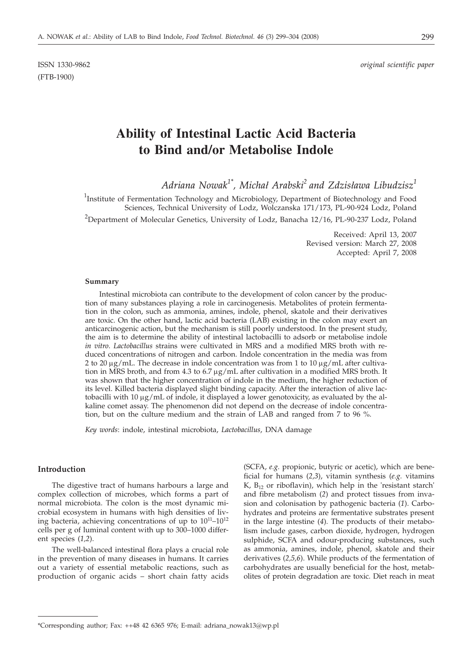(FTB-1900)

# **Ability of Intestinal Lactic Acid Bacteria to Bind and/or Metabolise Indole**

 $Adriana \ Nowak^{1*}$ , Michał Arabski<sup>2</sup> and Zdzisława Libudzisz<sup>1</sup>

<sup>1</sup>Institute of Fermentation Technology and Microbiology, Department of Biotechnology and Food Sciences, Technical University of Lodz, Wolczanska 171/173, PL-90-924 Lodz, Poland

<sup>2</sup>Department of Molecular Genetics, University of Lodz, Banacha 12/16, PL-90-237 Lodz, Poland

Received: April 13, 2007 Revised version: March 27, 2008 Accepted: April 7, 2008

#### **Summary**

Intestinal microbiota can contribute to the development of colon cancer by the production of many substances playing a role in carcinogenesis. Metabolites of protein fermentation in the colon, such as ammonia, amines, indole, phenol, skatole and their derivatives are toxic. On the other hand, lactic acid bacteria (LAB) existing in the colon may exert an anticarcinogenic action, but the mechanism is still poorly understood. In the present study, the aim is to determine the ability of intestinal lactobacilli to adsorb or metabolise indole *in vitro*. *Lactobacillus* strains were cultivated in MRS and a modified MRS broth with reduced concentrations of nitrogen and carbon. Indole concentration in the media was from 2 to 20  $\mu$ g/mL. The decrease in indole concentration was from 1 to 10  $\mu$ g/mL after cultivation in MRS broth, and from 4.3 to  $6.7 \mu g/mL$  after cultivation in a modified MRS broth. It was shown that the higher concentration of indole in the medium, the higher reduction of its level. Killed bacteria displayed slight binding capacity. After the interaction of alive lactobacilli with 10  $\mu$ g/mL of indole, it displayed a lower genotoxicity, as evaluated by the alkaline comet assay. The phenomenon did not depend on the decrease of indole concentration, but on the culture medium and the strain of LAB and ranged from 7 to 96 %.

*Key words*: indole, intestinal microbiota, *Lactobacillus*, DNA damage

## **Introduction**

The digestive tract of humans harbours a large and complex collection of microbes, which forms a part of normal microbiota. The colon is the most dynamic microbial ecosystem in humans with high densities of living bacteria, achieving concentrations of up to  $10^{11}-10^{12}$ cells per g of luminal content with up to 300–1000 different species (*1,2*).

The well-balanced intestinal flora plays a crucial role in the prevention of many diseases in humans. It carries out a variety of essential metabolic reactions, such as production of organic acids – short chain fatty acids

(SCFA, *e.g.* propionic, butyric or acetic), which are beneficial for humans (*2,3*), vitamin synthesis (*e.g.* vitamins  $K$ ,  $B_{12}$  or riboflavin), which help in the 'resistant starch' and fibre metabolism (*2*) and protect tissues from invasion and colonisation by pathogenic bacteria (*1*). Carbohydrates and proteins are fermentative substrates present in the large intestine (*4*). The products of their metabolism include gases, carbon dioxide, hydrogen, hydrogen sulphide, SCFA and odour-producing substances, such as ammonia, amines, indole, phenol, skatole and their derivatives (*2,5,6*). While products of the fermentation of carbohydrates are usually beneficial for the host, metabolites of protein degradation are toxic. Diet reach in meat

<sup>\*</sup>Corresponding author; Fax: ++48 42 6365 976; E-mail: adriana\_nowak13@wp.pl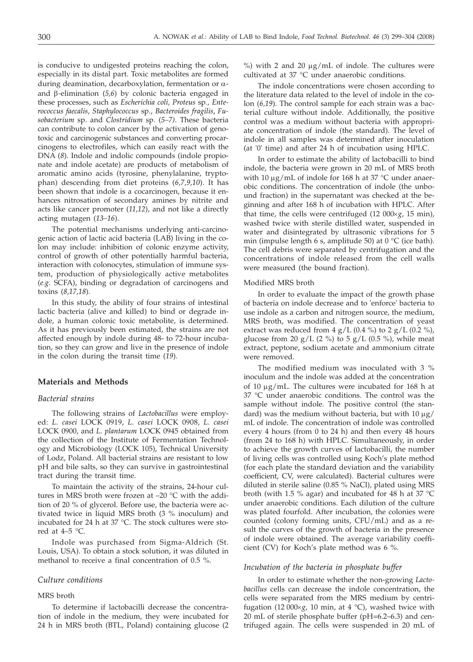is conducive to undigested proteins reaching the colon, especially in its distal part. Toxic metabolites are formed during deamination, decarboxylation, fermentation or aand b*-*elimination (*5,6*) by colonic bacteria engaged in these processes, such as *Escherichia coli, Proteus* sp*., Enterococcus faecalis*, *Staphylococcus* sp., *Bacteroides fragilis*, *Fusobacterium* sp. and *Clostridium* sp. (*5–7)*. These bacteria can contribute to colon cancer by the activation of genotoxic and carcinogenic substances and converting procarcinogens to electrofiles, which can easily react with the DNA (8). Indole and indolic compounds (indole propionate and indole acetate) are products of metabolism of aromatic amino acids (tyrosine, phenylalanine, tryptophan) descending from diet proteins (*6,7,9,10*). It has been shown that indole is a cocarcinogen, because it enhances nitrosation of secondary amines by nitrite and acts like cancer promoter (*11,12*), and not like a directly acting mutagen (*13–16*).

The potential mechanisms underlying anti-carcinogenic action of lactic acid bacteria (LAB) living in the colon may include: inhibition of colonic enzyme activity, control of growth of other potentially harmful bacteria, interaction with colonocytes, stimulation of immune system, production of physiologically active metabolites (*e.g.* SCFA), binding or degradation of carcinogens and toxins (*8,17,18*).

In this study, the ability of four strains of intestinal lactic bacteria (alive and killed) to bind or degrade indole, a human colonic toxic metabolite, is determined. As it has previously been estimated, the strains are not affected enough by indole during 48- to 72-hour incubation, so they can grow and live in the presence of indole in the colon during the transit time (*19*).

# **Materials and Methods**

#### *Bacterial strains*

The following strains of *Lactobacillus* were employed: *L. casei* LOCK 0919, *L. casei* LOCK 0908, *L. casei* LOCK 0900, and *L. plantarum* LOCK 0945 obtained from the collection of the Institute of Fermentation Technology and Microbiology (LOCK 105), Technical University of Lodz, Poland. All bacterial strains are resistant to low pH and bile salts, so they can survive in gastrointestinal tract during the transit time.

To maintain the activity of the strains, 24-hour cultures in MRS broth were frozen at –20 °C with the addition of 20 % of glycerol. Before use, the bacteria were activated twice in liquid MRS broth (3 % inoculum) and incubated for 24 h at 37 °C. The stock cultures were stored at  $4-5$  °C.

Indole was purchased from Sigma-Aldrich (St. Louis, USA). To obtain a stock solution, it was diluted in methanol to receive a final concentration of 0.5 %.

#### *Culture conditions*

# MRS broth

To determine if lactobacilli decrease the concentration of indole in the medium, they were incubated for 24 h in MRS broth (BTL, Poland) containing glucose (2  $\%$ ) with 2 and 20  $\mu$ g/mL of indole. The cultures were cultivated at 37 °C under anaerobic conditions.

The indole concentrations were chosen according to the literature data related to the level of indole in the colon (*6,19*). The control sample for each strain was a bacterial culture without indole. Additionally, the positive control was a medium without bacteria with appropriate concentration of indole (the standard). The level of indole in all samples was determined after inoculation (at '0' time) and after 24 h of incubation using HPLC.

In order to estimate the ability of lactobacilli to bind indole, the bacteria were grown in 20 mL of MRS broth with 10  $\mu$ g/mL of indole for 168 h at 37 °C under anaerobic conditions. The concentration of indole (the unbound fraction) in the supernatant was checked at the beginning and after 168 h of incubation with HPLC. After that time, the cells were centrifuged (12 000×g, 15 min), washed twice with sterile distilled water, suspended in water and disintegrated by ultrasonic vibrations for 5 min (impulse length 6 s, amplitude 50) at 0 °C (ice bath). The cell debris were separated by centrifugation and the concentrations of indole released from the cell walls were measured (the bound fraction).

#### Modified MRS broth

In order to evaluate the impact of the growth phase of bacteria on indole decrease and to 'enforce' bacteria to use indole as a carbon and nitrogen source, the medium, MRS broth, was modified. The concentration of yeast extract was reduced from 4  $g/L$  (0.4 %) to 2  $g/L$  (0.2 %), glucose from 20 g/L (2 %) to 5 g/L (0.5 %), while meat extract, peptone, sodium acetate and ammonium citrate were removed.

The modified medium was inoculated with 3 % inoculum and the indole was added at the concentration of 10  $\mu$ g/mL. The cultures were incubated for 168 h at 37 °C under anaerobic conditions. The control was the sample without indole. The positive control (the standard) was the medium without bacteria, but with  $10 \mu g$ / mL of indole. The concentration of indole was controlled every 4 hours (from 0 to 24 h) and then every 48 hours (from 24 to 168 h) with HPLC. Simultaneously, in order to achieve the growth curves of lactobacilli, the number of living cells was controlled using Koch's plate method (for each plate the standard deviation and the variability coefficient, CV, were calculated). Bacterial cultures were diluted in sterile saline (0.85 % NaCl), plated using MRS broth (with 1.5 % agar) and incubated for 48 h at 37 °C under anaerobic conditions. Each dilution of the culture was plated fourfold. After incubation, the colonies were counted (colony forming units, CFU/mL) and as a result the curves of the growth of bacteria in the presence of indole were obtained. The average variability coefficient (CV) for Koch's plate method was 6 %.

# *Incubation of the bacteria in phosphate buffer*

In order to estimate whether the non-growing *Lactobacillus* cells can decrease the indole concentration, the cells were separated from the MRS medium by centrifugation (12 000 $\times$ *g*, 10 min, at 4 °C), washed twice with 20 mL of sterile phosphate buffer (pH=6.2–6.3) and centrifuged again. The cells were suspended in 20 mL of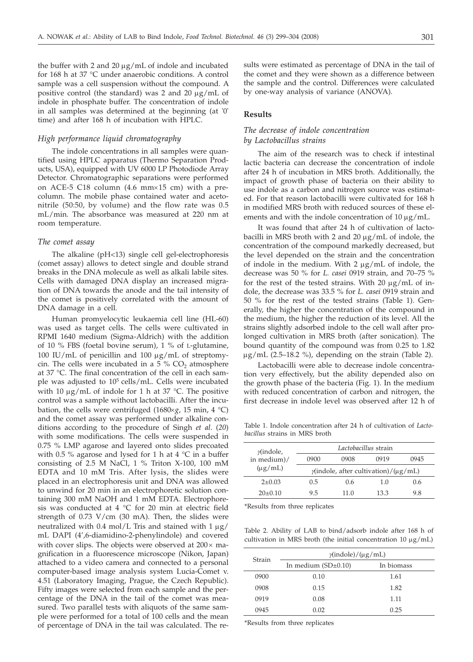the buffer with 2 and 20  $\mu$ g/mL of indole and incubated for 168 h at 37 °C under anaerobic conditions. A control sample was a cell suspension without the compound. A positive control (the standard) was  $2$  and  $20 \mu g/mL$  of indole in phosphate buffer. The concentration of indole in all samples was determined at the beginning (at '0' time) and after 168 h of incubation with HPLC.

# *High performance liquid chromatography*

The indole concentrations in all samples were quantified using HPLC apparatus (Thermo Separation Products, USA), equipped with UV 6000 LP Photodiode Array Detector. Chromatographic separations were performed on ACE-5 C18 column (4.6 mm $\times$ 15 cm) with a precolumn. The mobile phase contained water and acetonitrile (50:50, by volume) and the flow rate was 0.5 mL/min. The absorbance was measured at 220 nm at room temperature.

#### *The comet assay*

The alkaline (pH<13) single cell gel-electrophoresis (comet assay) allows to detect single and double strand breaks in the DNA molecule as well as alkali labile sites. Cells with damaged DNA display an increased migration of DNA towards the anode and the tail intensity of the comet is positively correlated with the amount of DNA damage in a cell.

Human promyelocytic leukaemia cell line (HL-60) was used as target cells. The cells were cultivated in RPMI 1640 medium (Sigma-Aldrich) with the addition of 10 % FBS (foetal bovine serum), 1 % of L-glutamine, 100 IU/mL of penicillin and 100 mg/mL of streptomycin. The cells were incubated in a 5 %  $CO<sub>2</sub>$  atmosphere at 37 °C. The final concentration of the cell in each sample was adjusted to  $10^5$  cells/mL. Cells were incubated with 10  $\mu$ g/mL of indole for 1 h at 37 °C. The positive control was a sample without lactobacilli. After the incubation, the cells were centrifuged (1680 $\times$ *g*, 15 min, 4 °C) and the comet assay was performed under alkaline conditions according to the procedure of Singh *et al*. (*20*) with some modifications. The cells were suspended in 0.75 % LMP agarose and layered onto slides precoated with 0.5 % agarose and lysed for 1 h at 4  $\degree$ C in a buffer consisting of 2.5 M NaCl, 1 % Triton X-100, 100 mM EDTA and 10 mM Tris. After lysis, the slides were placed in an electrophoresis unit and DNA was allowed to unwind for 20 min in an electrophoretic solution containing 300 mM NaOH and 1 mM EDTA. Electrophoresis was conducted at 4 °C for 20 min at electric field strength of  $0.73$  V/cm (30 mA). Then, the slides were neutralized with 0.4 mol/L Tris and stained with  $1 \mu$ g/ mL DAPI (4',6-diamidino-2-phenylindole) and covered with cover slips. The objects were observed at  $200 \times$  magnification in a fluorescence microscope (Nikon, Japan) attached to a video camera and connected to a personal computer-based image analysis system Lucia-Comet v. 4.51 (Laboratory Imaging, Prague, the Czech Republic). Fifty images were selected from each sample and the percentage of the DNA in the tail of the comet was measured. Two parallel tests with aliquots of the same sample were performed for a total of 100 cells and the mean of percentage of DNA in the tail was calculated. The results were estimated as percentage of DNA in the tail of the comet and they were shown as a difference between the sample and the control. Differences were calculated by one-way analysis of variance (ANOVA).

## **Results**

# *The decrease of indole concentration by Lactobacillus strains*

The aim of the research was to check if intestinal lactic bacteria can decrease the concentration of indole after 24 h of incubation in MRS broth. Additionally, the impact of growth phase of bacteria on their ability to use indole as a carbon and nitrogen source was estimated. For that reason lactobacilli were cultivated for 168 h in modified MRS broth with reduced sources of these elements and with the indole concentration of  $10 \mu g/mL$ .

It was found that after 24 h of cultivation of lactobacilli in MRS broth with 2 and 20  $\mu$ g/mL of indole, the concentration of the compound markedly decreased, but the level depended on the strain and the concentration of indole in the medium. With  $2 \mu g/mL$  of indole, the decrease was 50 % for *L. casei* 0919 strain, and 70–75 % for the rest of the tested strains. With 20  $\mu$ g/mL of indole, the decrease was 33.5 % for *L. casei* 0919 strain and 50 % for the rest of the tested strains (Table 1). Generally, the higher the concentration of the compound in the medium, the higher the reduction of its level. All the strains slightly adsorbed indole to the cell wall after prolonged cultivation in MRS broth (after sonication). The bound quantity of the compound was from 0.25 to 1.82  $\mu$ g/mL (2.5–18.2 %), depending on the strain (Table 2).

Lactobacilli were able to decrease indole concentration very effectively, but the ability depended also on the growth phase of the bacteria (Fig. 1). In the medium with reduced concentration of carbon and nitrogen, the first decrease in indole level was observed after 12 h of

Table 1. Indole concentration after 24 h of cultivation of *Lactobacillus* strains in MRS broth

| $\gamma$ (indole,<br>in medium)/ | Lactobacillus strain                               |      |      |      |  |  |
|----------------------------------|----------------------------------------------------|------|------|------|--|--|
|                                  | 0900                                               | 0908 | 0919 | 0945 |  |  |
| $(\mu g/mL)$                     | $\gamma$ (indole, after cultivation)/( $\mu$ g/mL) |      |      |      |  |  |
| $2+0.03$                         | 0.5                                                | 0.6  | 1.0  | 0.6  |  |  |
| $20+0.10$                        | 9.5                                                | 11.0 | 13.3 | 9.8  |  |  |

\*Results from three replicates

Table 2. Ability of LAB to bind/adsorb indole after 168 h of cultivation in MRS broth (the initial concentration 10  $\mu$ g/mL)

| Strain | $\gamma$ (indole)/( $\mu$ g/mL) |            |  |  |
|--------|---------------------------------|------------|--|--|
|        | In medium $(SD\pm0.10)$         | In biomass |  |  |
| 0900   | 0.10                            | 1.61       |  |  |
| 0908   | 0.15                            | 1.82       |  |  |
| 0919   | 0.08                            | 1.11       |  |  |
| 0945   | 0.02                            | 0.25       |  |  |

\*Results from three replicates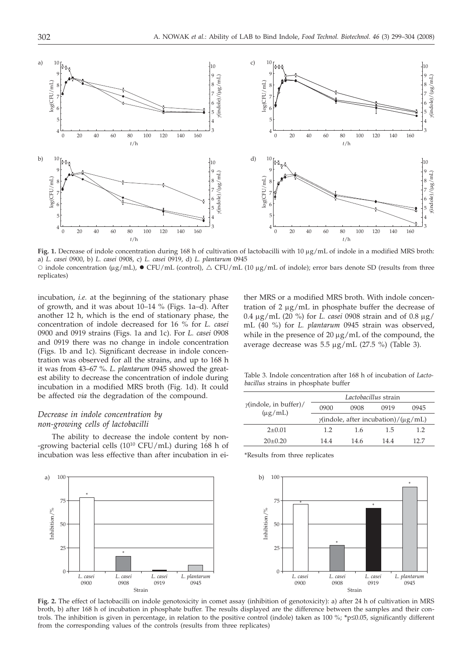

**Fig. 1.** Decrease of indole concentration during 168 h of cultivation of lactobacilli with 10 µg/mL of indole in a modified MRS broth: a) *L. casei* 0900, b) *L. casei* 0908, c) *L. casei* 0919, d) *L. plantarum* 0945  $\circ$  indole concentration (µg/mL),  $\bullet$  CFU/mL (control),  $\triangle$  CFU/mL (10 µg/mL of indole); error bars denote SD (results from three replicates)

incubation, *i.e.* at the beginning of the stationary phase of growth, and it was about 10–14 % (Figs. 1a–d). After another 12 h, which is the end of stationary phase, the concentration of indole decreased for 16 % for *L. casei* 0900 and 0919 strains (Figs. 1a and 1c). For *L. casei* 0908 and 0919 there was no change in indole concentration (Figs. 1b and 1c). Significant decrease in indole concentration was observed for all the strains, and up to 168 h it was from 43–67 %. *L. plantarum* 0945 showed the greatest ability to decrease the concentration of indole during incubation in a modified MRS broth (Fig. 1d). It could be affected *via* the degradation of the compound.

# *Decrease in indole concentration by non-growing cells of lactobacilli*

The ability to decrease the indole content by non- -growing bacterial cells  $(10^{10} CFU/mL)$  during 168 h of incubation was less effective than after incubation in ei-

ther MRS or a modified MRS broth. With indole concentration of  $2 \mu g/mL$  in phosphate buffer the decrease of 0.4 mg/mL (20 %) for *L. casei* 0908 strain and of 0.8 mg/ mL (40 %) for *L. plantarum* 0945 strain was observed, while in the presence of  $20 \mu g/mL$  of the compound, the average decrease was  $5.5 \mu g/mL$  (27.5 %) (Table 3).

Table 3. Indole concentration after 168 h of incubation of *Lactobacillus* strains in phosphate buffer

|                                               | Lactobacillus strain                              |      |      |      |  |
|-----------------------------------------------|---------------------------------------------------|------|------|------|--|
| $\gamma$ (indole, in buffer)/<br>$(\mu g/mL)$ | 0900                                              | 0908 | 0919 | 0945 |  |
|                                               | $\gamma$ (indole, after incubation)/( $\mu$ g/mL) |      |      |      |  |
| $2+0.01$                                      | 1.2                                               | 1.6  | 1.5  | 1.2  |  |
| $20+0.20$                                     | 14.4                                              | 14.6 | 14.4 | 12.7 |  |

\*Results from three replicates



**Fig. 2.** The effect of lactobacilli on indole genotoxicity in comet assay (inhibition of genotoxicity): a) after 24 h of cultivation in MRS broth, b) after 168 h of incubation in phosphate buffer. The results displayed are the difference between the samples and their controls. The inhibition is given in percentage, in relation to the positive control (indole) taken as 100 %; \*p≤0.05, significantly different from the corresponding values of the controls (results from three replicates)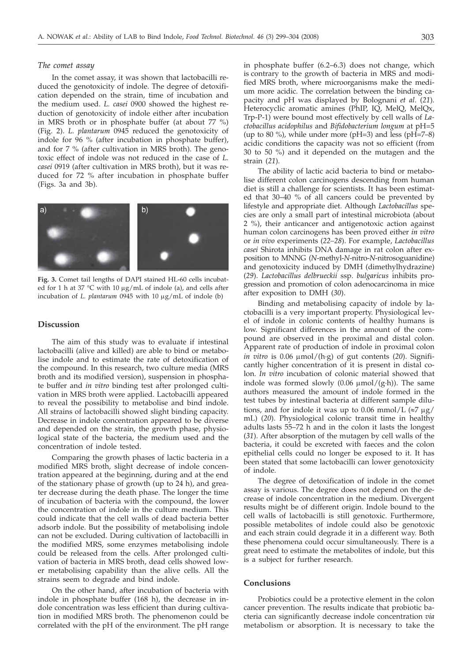#### *The comet assay*

In the comet assay, it was shown that lactobacilli reduced the genotoxicity of indole. The degree of detoxification depended on the strain, time of incubation and the medium used. *L. casei* 0900 showed the highest reduction of genotoxicity of indole either after incubation in MRS broth or in phosphate buffer (at about 77 %) (Fig. 2). *L. plantarum* 0945 reduced the genotoxicity of indole for 96 % (after incubation in phosphate buffer), and for 7 % (after cultivation in MRS broth). The genotoxic effect of indole was not reduced in the case of *L. casei* 0919 (after cultivation in MRS broth), but it was reduced for 72 % after incubation in phosphate buffer (Figs. 3a and 3b).



**Fig. 3.** Comet tail lengths of DAPI stained HL-60 cells incubated for 1 h at 37 °C with 10  $\mu$ g/mL of indole (a), and cells after incubation of *L. plantarum* 0945 with 10  $\mu$ g/mL of indole (b)

# **Discussion**

The aim of this study was to evaluate if intestinal lactobacilli (alive and killed) are able to bind or metabolise indole and to estimate the rate of detoxification of the compound. In this research, two culture media (MRS broth and its modified version), suspension in phosphate buffer and *in vitro* binding test after prolonged cultivation in MRS broth were applied. Lactobacilli appeared to reveal the possibility to metabolise and bind indole. All strains of lactobacilli showed slight binding capacity. Decrease in indole concentration appeared to be diverse and depended on the strain, the growth phase, physiological state of the bacteria, the medium used and the concentration of indole tested.

Comparing the growth phases of lactic bacteria in a modified MRS broth, slight decrease of indole concentration appeared at the beginning, during and at the end of the stationary phase of growth (up to 24 h), and greater decrease during the death phase. The longer the time of incubation of bacteria with the compound, the lower the concentration of indole in the culture medium. This could indicate that the cell walls of dead bacteria better adsorb indole. But the possibility of metabolising indole can not be excluded. During cultivation of lactobacilli in the modified MRS, some enzymes metabolising indole could be released from the cells. After prolonged cultivation of bacteria in MRS broth, dead cells showed lower metabolising capability than the alive cells. All the strains seem to degrade and bind indole.

On the other hand, after incubation of bacteria with indole in phosphate buffer (168 h), the decrease in indole concentration was less efficient than during cultivation in modified MRS broth. The phenomenon could be correlated with the pH of the environment. The pH range

in phosphate buffer (6.2–6.3) does not change, which is contrary to the growth of bacteria in MRS and modified MRS broth, where microorganisms make the medium more acidic. The correlation between the binding capacity and pH was displayed by Bolognani *et al*. (*21*). Heterocyclic aromatic amines (PhIP, IQ, MelQ, MelQx, Trp-P-1) were bound most effectively by cell walls of *Lactobacillus acidophilus* and *Bifidobacterium longum* at pH=5 (up to 80 %), while under more (pH=3) and less (pH=7–8) acidic conditions the capacity was not so efficient (from 30 to 50 %) and it depended on the mutagen and the strain (*21*).

The ability of lactic acid bacteria to bind or metabolise different colon carcinogens descending from human diet is still a challenge for scientists. It has been estimated that 30–40 % of all cancers could be prevented by lifestyle and appropriate diet. Although *Lactobacillus* species are only a small part of intestinal microbiota (about 2 %), their anticancer and antigenotoxic action against human colon carcinogens has been proved either *in vitro* or *in vivo* experiments (*22–28*). For example, *Lactobacillus casei* Shirota inhibits DNA damage in rat colon after exposition to MNNG (*N*-methyl-*N*-nitro-*N*-nitrosoguanidine) and genotoxicity induced by DMH (dimethylhydrazine) (*29*). *Lactobacillus delbrueckii* ssp. *bulgaricus* inhibits progression and promotion of colon adenocarcinoma in mice after exposition to DMH (*30*).

Binding and metabolising capacity of indole by lactobacilli is a very important property. Physiological level of indole in colonic contents of healthy humans is low. Significant differences in the amount of the compound are observed in the proximal and distal colon. Apparent rate of production of indole in proximal colon *in vitro* is 0.06  $\mu$ mol/(h·g) of gut contents (20). Significantly higher concentration of it is present in distal colon. *In vitro* incubation of colonic material showed that indole was formed slowly  $(0.06 \mu \text{mol}/(\text{g}\cdot \text{h}))$ . The same authors measured the amount of indole formed in the test tubes by intestinal bacteria at different sample dilutions, and for indole it was up to 0.06 mmol/L  $(\approx 7 \mu g)$ mL) (*20*). Physiological colonic transit time in healthy adults lasts 55–72 h and in the colon it lasts the longest (*31*). After absorption of the mutagen by cell walls of the bacteria, it could be excreted with faeces and the colon epithelial cells could no longer be exposed to it. It has been stated that some lactobacilli can lower genotoxicity of indole.

The degree of detoxification of indole in the comet assay is various. The degree does not depend on the decrease of indole concentration in the medium. Divergent results might be of different origin. Indole bound to the cell walls of lactobacilli is still genotoxic. Furthermore, possible metabolites of indole could also be genotoxic and each strain could degrade it in a different way. Both these phenomena could occur simultaneously. There is a great need to estimate the metabolites of indole, but this is a subject for further research.

# **Conclusions**

Probiotics could be a protective element in the colon cancer prevention. The results indicate that probiotic bacteria can significantly decrease indole concentration *via* metabolism or absorption. It is necessary to take the